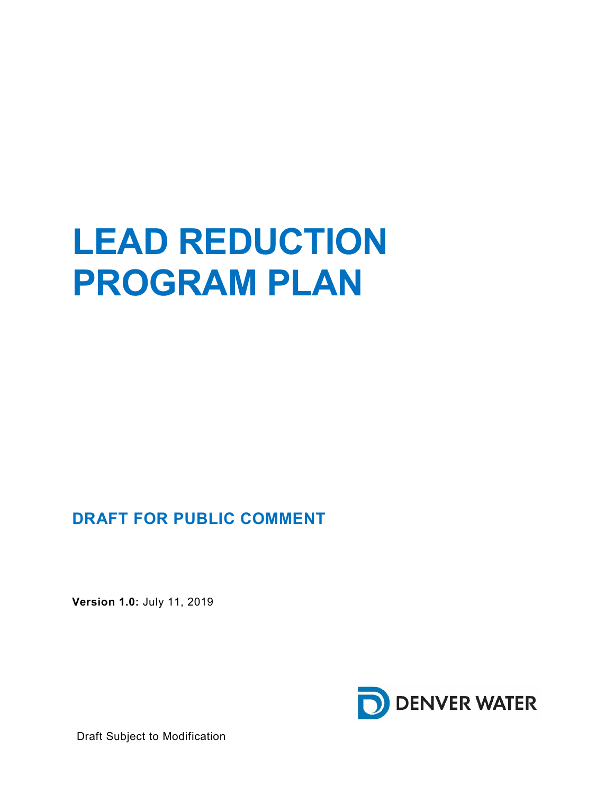# **LEAD REDUCTION PROGRAM PLAN**

# **DRAFT FOR PUBLIC COMMENT**

**Version 1.0:** July 11, 2019



Draft Subject to Modification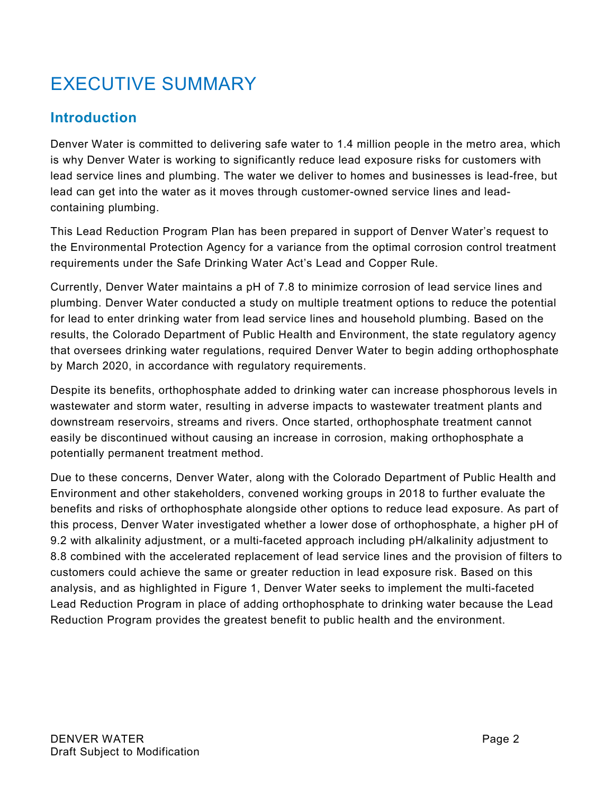# EXECUTIVE SUMMARY

# **Introduction**

Denver Water is committed to delivering safe water to 1.4 million people in the metro area, which is why Denver Water is working to significantly reduce lead exposure risks for customers with lead service lines and plumbing. The water we deliver to homes and businesses is lead-free, but lead can get into the water as it moves through customer-owned service lines and leadcontaining plumbing.

This Lead Reduction Program Plan has been prepared in support of Denver Water's request to the Environmental Protection Agency for a variance from the optimal corrosion control treatment requirements under the Safe Drinking Water Act's Lead and Copper Rule.

Currently, Denver Water maintains a pH of 7.8 to minimize corrosion of lead service lines and plumbing. Denver Water conducted a study on multiple treatment options to reduce the potential for lead to enter drinking water from lead service lines and household plumbing. Based on the results, the Colorado Department of Public Health and Environment, the state regulatory agency that oversees drinking water regulations, required Denver Water to begin adding orthophosphate by March 2020, in accordance with regulatory requirements.

Despite its benefits, orthophosphate added to drinking water can increase phosphorous levels in wastewater and storm water, resulting in adverse impacts to wastewater treatment plants and downstream reservoirs, streams and rivers. Once started, orthophosphate treatment cannot easily be discontinued without causing an increase in corrosion, making orthophosphate a potentially permanent treatment method.

Due to these concerns, Denver Water, along with the Colorado Department of Public Health and Environment and other stakeholders, convened working groups in 2018 to further evaluate the benefits and risks of orthophosphate alongside other options to reduce lead exposure. As part of this process, Denver Water investigated whether a lower dose of orthophosphate, a higher pH of 9.2 with alkalinity adjustment, or a multi-faceted approach including pH/alkalinity adjustment to 8.8 combined with the accelerated replacement of lead service lines and the provision of filters to customers could achieve the same or greater reduction in lead exposure risk. Based on this analysis, and as highlighted in Figure 1, Denver Water seeks to implement the multi-faceted Lead Reduction Program in place of adding orthophosphate to drinking water because the Lead Reduction Program provides the greatest benefit to public health and the environment.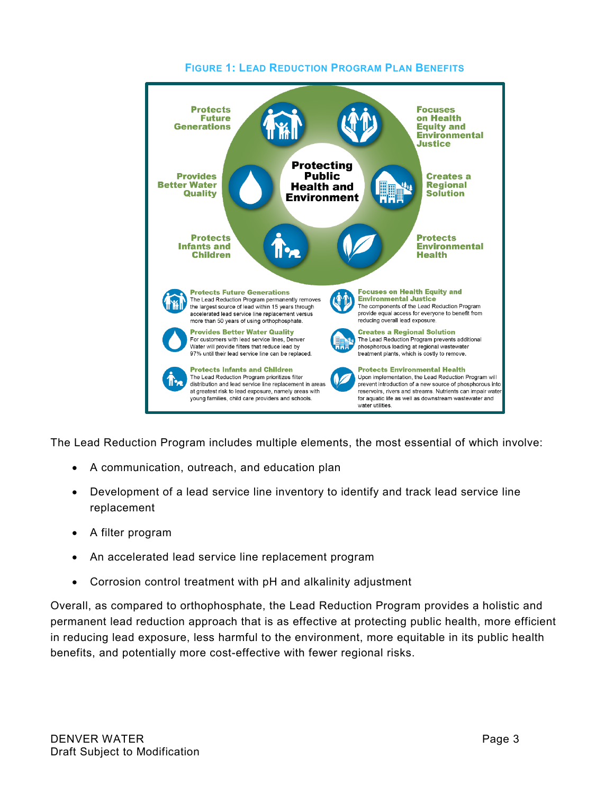

#### **FIGURE 1: LEAD REDUCTION PROGRAM PLAN BENEFITS**

The Lead Reduction Program includes multiple elements, the most essential of which involve:

- A communication, outreach, and education plan
- Development of a lead service line inventory to identify and track lead service line replacement
- A filter program
- An accelerated lead service line replacement program
- Corrosion control treatment with pH and alkalinity adjustment

Overall, as compared to orthophosphate, the Lead Reduction Program provides a holistic and permanent lead reduction approach that is as effective at protecting public health, more efficient in reducing lead exposure, less harmful to the environment, more equitable in its public health benefits, and potentially more cost-effective with fewer regional risks.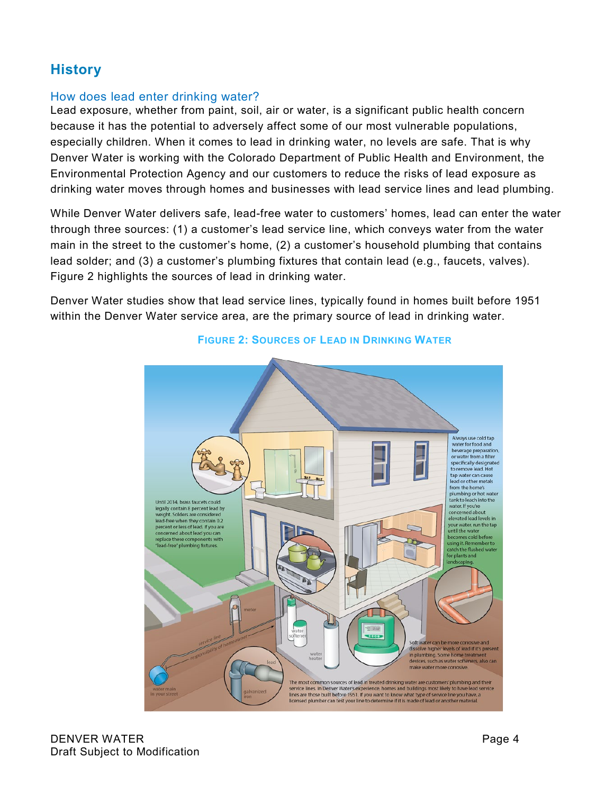## **History**

#### How does lead enter drinking water?

Lead exposure, whether from paint, soil, air or water, is a significant public health concern because it has the potential to adversely affect some of our most vulnerable populations, especially children. When it comes to lead in drinking water, no levels are safe. That is why Denver Water is working with the Colorado Department of Public Health and Environment, the Environmental Protection Agency and our customers to reduce the risks of lead exposure as drinking water moves through homes and businesses with lead service lines and lead plumbing.

While Denver Water delivers safe, lead-free water to customers' homes, lead can enter the water through three sources: (1) a customer's lead service line, which conveys water from the water main in the street to the customer's home, (2) a customer's household plumbing that contains lead solder; and (3) a customer's plumbing fixtures that contain lead (e.g., faucets, valves). Figure 2 highlights the sources of lead in drinking water.

Denver Water studies show that lead service lines, typically found in homes built before 1951 within the Denver Water service area, are the primary source of lead in drinking water.



#### **FIGURE 2: SOURCES OF LEAD IN DRINKING WATER**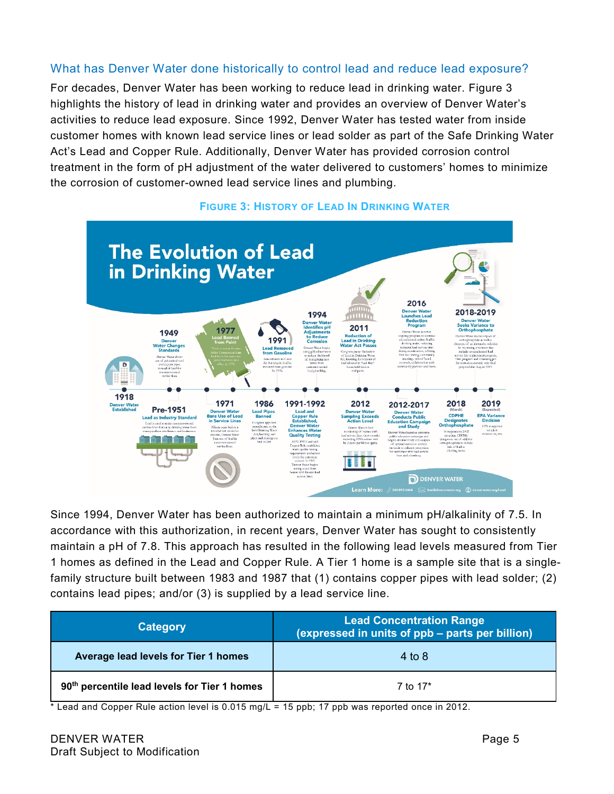#### What has Denver Water done historically to control lead and reduce lead exposure?

For decades, Denver Water has been working to reduce lead in drinking water. Figure 3 highlights the history of lead in drinking water and provides an overview of Denver Water's activities to reduce lead exposure. Since 1992, Denver Water has tested water from inside customer homes with known lead service lines or lead solder as part of the Safe Drinking Water Act's Lead and Copper Rule. Additionally, Denver Water has provided corrosion control treatment in the form of pH adjustment of the water delivered to customers' homes to minimize the corrosion of customer-owned lead service lines and plumbing.



#### **FIGURE 3: HISTORY OF LEAD IN DRINKING WATER**

Since 1994, Denver Water has been authorized to maintain a minimum pH/alkalinity of 7.5. In accordance with this authorization, in recent years, Denver Water has sought to consistently maintain a pH of 7.8. This approach has resulted in the following lead levels measured from Tier 1 homes as defined in the Lead and Copper Rule. A Tier 1 home is a sample site that is a singlefamily structure built between 1983 and 1987 that (1) contains copper pipes with lead solder; (2) contains lead pipes; and/or (3) is supplied by a lead service line.

| <b>Category</b>                                          | <b>Lead Concentration Range</b><br>(expressed in units of ppb – parts per billion) |  |
|----------------------------------------------------------|------------------------------------------------------------------------------------|--|
| Average lead levels for Tier 1 homes                     | 4 to $8$                                                                           |  |
| 90 <sup>th</sup> percentile lead levels for Tier 1 homes | 7 to 17 <sup>*</sup>                                                               |  |

 $*$  Lead and Copper Rule action level is 0.015 mg/L = 15 ppb; 17 ppb was reported once in 2012.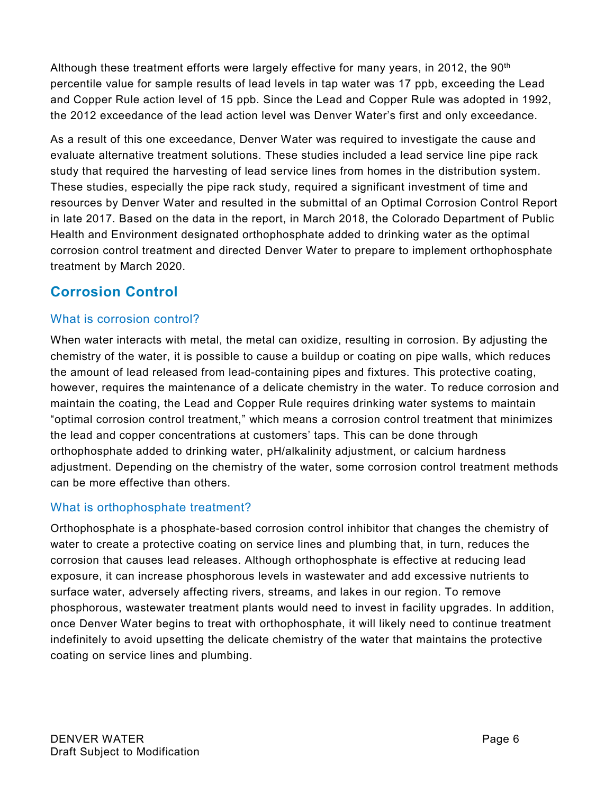Although these treatment efforts were largely effective for many years, in 2012, the 90<sup>th</sup> percentile value for sample results of lead levels in tap water was 17 ppb, exceeding the Lead and Copper Rule action level of 15 ppb. Since the Lead and Copper Rule was adopted in 1992, the 2012 exceedance of the lead action level was Denver Water's first and only exceedance.

As a result of this one exceedance, Denver Water was required to investigate the cause and evaluate alternative treatment solutions. These studies included a lead service line pipe rack study that required the harvesting of lead service lines from homes in the distribution system. These studies, especially the pipe rack study, required a significant investment of time and resources by Denver Water and resulted in the submittal of an Optimal Corrosion Control Report in late 2017. Based on the data in the report, in March 2018, the Colorado Department of Public Health and Environment designated orthophosphate added to drinking water as the optimal corrosion control treatment and directed Denver Water to prepare to implement orthophosphate treatment by March 2020.

## **Corrosion Control**

#### What is corrosion control?

When water interacts with metal, the metal can oxidize, resulting in corrosion. By adjusting the chemistry of the water, it is possible to cause a buildup or coating on pipe walls, which reduces the amount of lead released from lead-containing pipes and fixtures. This protective coating, however, requires the maintenance of a delicate chemistry in the water. To reduce corrosion and maintain the coating, the Lead and Copper Rule requires drinking water systems to maintain "optimal corrosion control treatment," which means a corrosion control treatment that minimizes the lead and copper concentrations at customers' taps. This can be done through orthophosphate added to drinking water, pH/alkalinity adjustment, or calcium hardness adjustment. Depending on the chemistry of the water, some corrosion control treatment methods can be more effective than others.

#### What is orthophosphate treatment?

Orthophosphate is a phosphate-based corrosion control inhibitor that changes the chemistry of water to create a protective coating on service lines and plumbing that, in turn, reduces the corrosion that causes lead releases. Although orthophosphate is effective at reducing lead exposure, it can increase phosphorous levels in wastewater and add excessive nutrients to surface water, adversely affecting rivers, streams, and lakes in our region. To remove phosphorous, wastewater treatment plants would need to invest in facility upgrades. In addition, once Denver Water begins to treat with orthophosphate, it will likely need to continue treatment indefinitely to avoid upsetting the delicate chemistry of the water that maintains the protective coating on service lines and plumbing.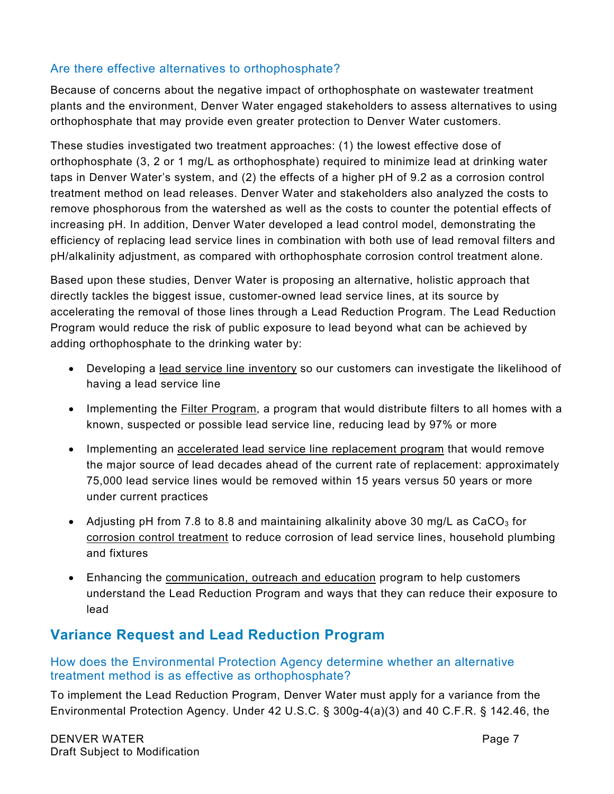#### Are there effective alternatives to orthophosphate?

Because of concerns about the negative impact of orthophosphate on wastewater treatment plants and the environment, Denver Water engaged stakeholders to assess alternatives to using orthophosphate that may provide even greater protection to Denver Water customers.

These studies investigated two treatment approaches: (1) the lowest effective dose of orthophosphate (3, 2 or 1 mg/L as orthophosphate) required to minimize lead at drinking water taps in Denver Water's system, and (2) the effects of a higher pH of 9.2 as a corrosion control treatment method on lead releases. Denver Water and stakeholders also analyzed the costs to remove phosphorous from the watershed as well as the costs to counter the potential effects of increasing pH. In addition, Denver Water developed a lead control model, demonstrating the efficiency of replacing lead service lines in combination with both use of lead removal filters and pH/alkalinity adjustment, as compared with orthophosphate corrosion control treatment alone.

Based upon these studies, Denver Water is proposing an alternative, holistic approach that directly tackles the biggest issue, customer-owned lead service lines, at its source by accelerating the removal of those lines through a Lead Reduction Program. The Lead Reduction Program would reduce the risk of public exposure to lead beyond what can be achieved by adding orthophosphate to the drinking water by:

- Developing a lead service line inventory so our customers can investigate the likelihood of having a lead service line
- Implementing the Filter Program, a program that would distribute filters to all homes with a known, suspected or possible lead service line, reducing lead by 97% or more
- Implementing an accelerated lead service line replacement program that would remove the major source of lead decades ahead of the current rate of replacement: approximately 75,000 lead service lines would be removed within 15 years versus 50 years or more under current practices
- Adjusting pH from 7.8 to 8.8 and maintaining alkalinity above 30 mg/L as CaCO<sub>3</sub> for corrosion control treatment to reduce corrosion of lead service lines, household plumbing and fixtures
- Enhancing the communication, outreach and education program to help customers understand the Lead Reduction Program and ways that they can reduce their exposure to lead

### **Variance Request and Lead Reduction Program**

#### How does the Environmental Protection Agency determine whether an alternative treatment method is as effective as orthophosphate?

To implement the Lead Reduction Program, Denver Water must apply for a variance from the Environmental Protection Agency. Under 42 U.S.C. § 300g-4(a)(3) and 40 C.F.R. § 142.46, the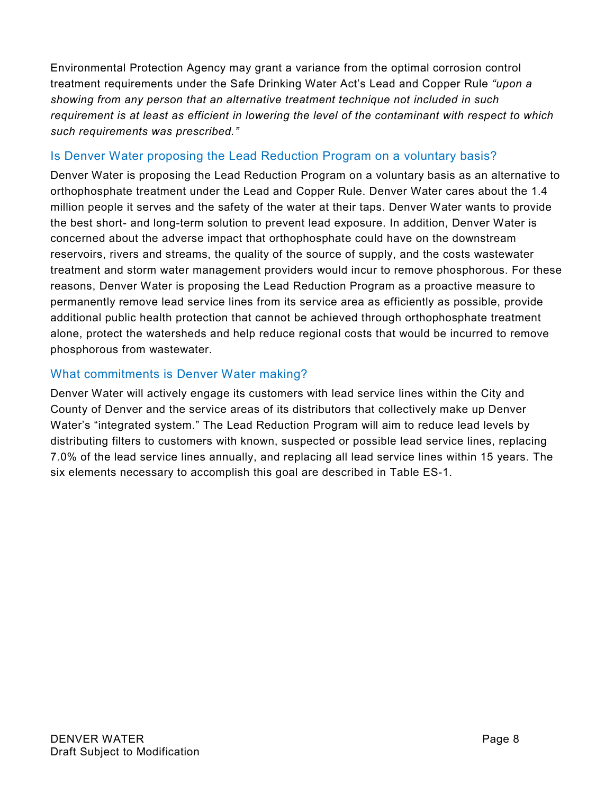Environmental Protection Agency may grant a variance from the optimal corrosion control treatment requirements under the Safe Drinking Water Act's Lead and Copper Rule *"upon a showing from any person that an alternative treatment technique not included in such requirement is at least as efficient in lowering the level of the contaminant with respect to which such requirements was prescribed."*

#### Is Denver Water proposing the Lead Reduction Program on a voluntary basis?

Denver Water is proposing the Lead Reduction Program on a voluntary basis as an alternative to orthophosphate treatment under the Lead and Copper Rule. Denver Water cares about the 1.4 million people it serves and the safety of the water at their taps. Denver Water wants to provide the best short- and long-term solution to prevent lead exposure. In addition, Denver Water is concerned about the adverse impact that orthophosphate could have on the downstream reservoirs, rivers and streams, the quality of the source of supply, and the costs wastewater treatment and storm water management providers would incur to remove phosphorous. For these reasons, Denver Water is proposing the Lead Reduction Program as a proactive measure to permanently remove lead service lines from its service area as efficiently as possible, provide additional public health protection that cannot be achieved through orthophosphate treatment alone, protect the watersheds and help reduce regional costs that would be incurred to remove phosphorous from wastewater.

#### What commitments is Denver Water making?

Denver Water will actively engage its customers with lead service lines within the City and County of Denver and the service areas of its distributors that collectively make up Denver Water's "integrated system." The Lead Reduction Program will aim to reduce lead levels by distributing filters to customers with known, suspected or possible lead service lines, replacing 7.0% of the lead service lines annually, and replacing all lead service lines within 15 years. The six elements necessary to accomplish this goal are described in Table ES-1.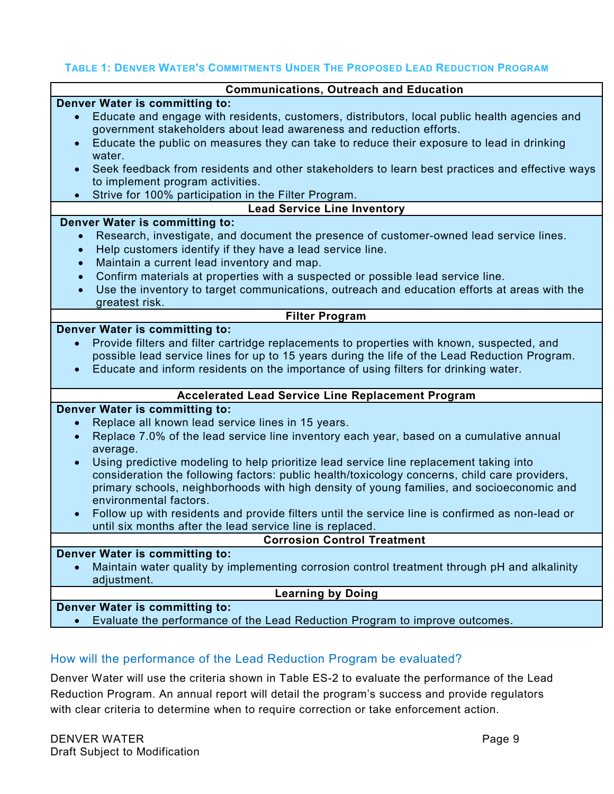#### **TABLE 1: DENVER WATER'S COMMITMENTS UNDER THE PROPOSED LEAD REDUCTION PROGRAM**

| <b>Communications, Outreach and Education</b>                                                                                                                                                            |  |  |  |  |
|----------------------------------------------------------------------------------------------------------------------------------------------------------------------------------------------------------|--|--|--|--|
| Denver Water is committing to:                                                                                                                                                                           |  |  |  |  |
| Educate and engage with residents, customers, distributors, local public health agencies and<br>$\bullet$                                                                                                |  |  |  |  |
| government stakeholders about lead awareness and reduction efforts.                                                                                                                                      |  |  |  |  |
| Educate the public on measures they can take to reduce their exposure to lead in drinking                                                                                                                |  |  |  |  |
| water.                                                                                                                                                                                                   |  |  |  |  |
| Seek feedback from residents and other stakeholders to learn best practices and effective ways<br>$\bullet$<br>to implement program activities.                                                          |  |  |  |  |
| Strive for 100% participation in the Filter Program.                                                                                                                                                     |  |  |  |  |
| <b>Lead Service Line Inventory</b>                                                                                                                                                                       |  |  |  |  |
| Denver Water is committing to:                                                                                                                                                                           |  |  |  |  |
| Research, investigate, and document the presence of customer-owned lead service lines.                                                                                                                   |  |  |  |  |
| Help customers identify if they have a lead service line.<br>$\bullet$                                                                                                                                   |  |  |  |  |
| Maintain a current lead inventory and map.<br>$\bullet$                                                                                                                                                  |  |  |  |  |
| Confirm materials at properties with a suspected or possible lead service line.<br>$\bullet$                                                                                                             |  |  |  |  |
| Use the inventory to target communications, outreach and education efforts at areas with the<br>$\bullet$                                                                                                |  |  |  |  |
| greatest risk.                                                                                                                                                                                           |  |  |  |  |
| <b>Filter Program</b>                                                                                                                                                                                    |  |  |  |  |
| Denver Water is committing to:                                                                                                                                                                           |  |  |  |  |
| Provide filters and filter cartridge replacements to properties with known, suspected, and<br>$\bullet$<br>possible lead service lines for up to 15 years during the life of the Lead Reduction Program. |  |  |  |  |
| Educate and inform residents on the importance of using filters for drinking water.<br>$\bullet$                                                                                                         |  |  |  |  |
|                                                                                                                                                                                                          |  |  |  |  |
| <b>Accelerated Lead Service Line Replacement Program</b>                                                                                                                                                 |  |  |  |  |
| Denver Water is committing to:                                                                                                                                                                           |  |  |  |  |
| Replace all known lead service lines in 15 years.<br>$\bullet$                                                                                                                                           |  |  |  |  |
| Replace 7.0% of the lead service line inventory each year, based on a cumulative annual<br>average.                                                                                                      |  |  |  |  |
| Using predictive modeling to help prioritize lead service line replacement taking into<br>$\bullet$                                                                                                      |  |  |  |  |
| consideration the following factors: public health/toxicology concerns, child care providers,                                                                                                            |  |  |  |  |
| primary schools, neighborhoods with high density of young families, and socioeconomic and                                                                                                                |  |  |  |  |
| environmental factors.                                                                                                                                                                                   |  |  |  |  |
| Follow up with residents and provide filters until the service line is confirmed as non-lead or<br>$\bullet$<br>until six months after the lead service line is replaced.                                |  |  |  |  |
| <b>Corrosion Control Treatment</b>                                                                                                                                                                       |  |  |  |  |
| Denver Water is committing to:                                                                                                                                                                           |  |  |  |  |
| Maintain water quality by implementing corrosion control treatment through pH and alkalinity                                                                                                             |  |  |  |  |
| adjustment.                                                                                                                                                                                              |  |  |  |  |
| <b>Learning by Doing</b>                                                                                                                                                                                 |  |  |  |  |
| Denver Water is committing to:                                                                                                                                                                           |  |  |  |  |
| Evaluate the performance of the Lead Reduction Program to improve outcomes.<br>$\bullet$                                                                                                                 |  |  |  |  |

#### How will the performance of the Lead Reduction Program be evaluated?

Denver Water will use the criteria shown in Table ES-2 to evaluate the performance of the Lead Reduction Program. An annual report will detail the program's success and provide regulators with clear criteria to determine when to require correction or take enforcement action.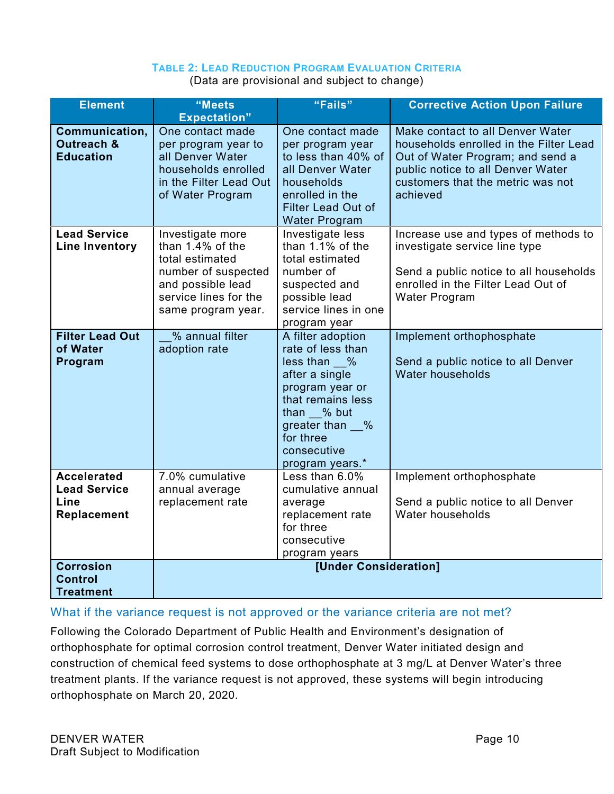#### **TABLE 2: LEAD REDUCTION PROGRAM EVALUATION CRITERIA**

(Data are provisional and subject to change)

| <b>Element</b>                                                   | "Meets<br><b>Expectation"</b>                                                                                                                         | "Fails"                                                                                                                                                                                               | <b>Corrective Action Upon Failure</b>                                                                                                                                                                |
|------------------------------------------------------------------|-------------------------------------------------------------------------------------------------------------------------------------------------------|-------------------------------------------------------------------------------------------------------------------------------------------------------------------------------------------------------|------------------------------------------------------------------------------------------------------------------------------------------------------------------------------------------------------|
| Communication,<br><b>Outreach &amp;</b><br><b>Education</b>      | One contact made<br>per program year to<br>all Denver Water<br>households enrolled<br>in the Filter Lead Out<br>of Water Program                      | One contact made<br>per program year<br>to less than 40% of<br>all Denver Water<br>households<br>enrolled in the<br><b>Filter Lead Out of</b><br><b>Water Program</b>                                 | Make contact to all Denver Water<br>households enrolled in the Filter Lead<br>Out of Water Program; and send a<br>public notice to all Denver Water<br>customers that the metric was not<br>achieved |
| <b>Lead Service</b><br><b>Line Inventory</b>                     | Investigate more<br>than $1.4\%$ of the<br>total estimated<br>number of suspected<br>and possible lead<br>service lines for the<br>same program year. | Investigate less<br>than 1.1% of the<br>total estimated<br>number of<br>suspected and<br>possible lead<br>service lines in one<br>program year                                                        | Increase use and types of methods to<br>investigate service line type<br>Send a public notice to all households<br>enrolled in the Filter Lead Out of<br>Water Program                               |
| <b>Filter Lead Out</b><br>of Water<br>Program                    | % annual filter<br>adoption rate                                                                                                                      | A filter adoption<br>rate of less than<br>less than %<br>after a single<br>program year or<br>that remains less<br>than $\_\_\%$ but<br>greater than %<br>for three<br>consecutive<br>program years.* | Implement orthophosphate<br>Send a public notice to all Denver<br>Water households                                                                                                                   |
| <b>Accelerated</b><br><b>Lead Service</b><br>Line<br>Replacement | 7.0% cumulative<br>annual average<br>replacement rate                                                                                                 | Less than 6.0%<br>cumulative annual<br>average<br>replacement rate<br>for three<br>consecutive<br>program years                                                                                       | Implement orthophosphate<br>Send a public notice to all Denver<br>Water households                                                                                                                   |
| <b>Corrosion</b><br><b>Control</b><br><b>Treatment</b>           |                                                                                                                                                       | [Under Consideration]                                                                                                                                                                                 |                                                                                                                                                                                                      |

#### What if the variance request is not approved or the variance criteria are not met?

Following the Colorado Department of Public Health and Environment's designation of orthophosphate for optimal corrosion control treatment, Denver Water initiated design and construction of chemical feed systems to dose orthophosphate at 3 mg/L at Denver Water's three treatment plants. If the variance request is not approved, these systems will begin introducing orthophosphate on March 20, 2020.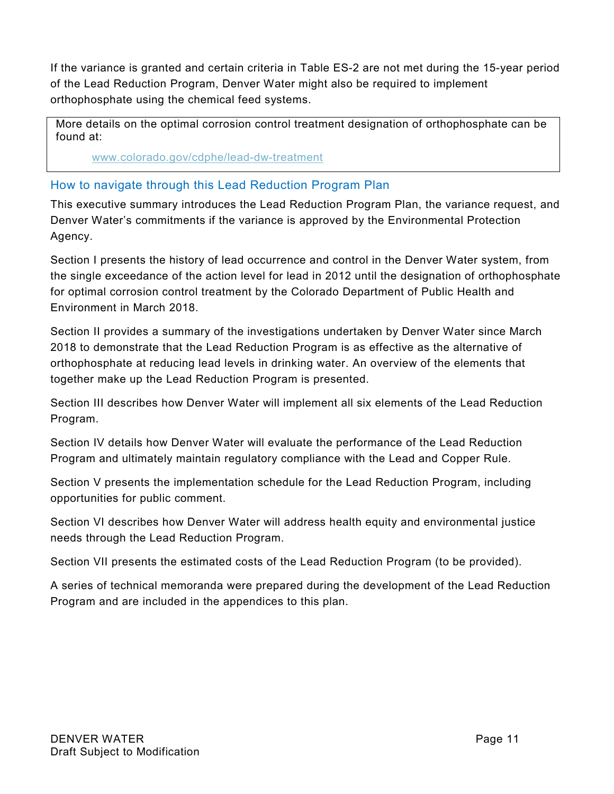If the variance is granted and certain criteria in Table ES-2 are not met during the 15-year period of the Lead Reduction Program, Denver Water might also be required to implement orthophosphate using the chemical feed systems.

More details on the optimal corrosion control treatment designation of orthophosphate can be found at:

[www.colorado.gov/cdphe/lead-dw-treatment](http://www.colorado.gov/cdphe/lead-dw-treatment)

#### How to navigate through this Lead Reduction Program Plan

This executive summary introduces the Lead Reduction Program Plan, the variance request, and Denver Water's commitments if the variance is approved by the Environmental Protection Agency.

Section I presents the history of lead occurrence and control in the Denver Water system, from the single exceedance of the action level for lead in 2012 until the designation of orthophosphate for optimal corrosion control treatment by the Colorado Department of Public Health and Environment in March 2018.

Section II provides a summary of the investigations undertaken by Denver Water since March 2018 to demonstrate that the Lead Reduction Program is as effective as the alternative of orthophosphate at reducing lead levels in drinking water. An overview of the elements that together make up the Lead Reduction Program is presented.

Section III describes how Denver Water will implement all six elements of the Lead Reduction Program.

Section IV details how Denver Water will evaluate the performance of the Lead Reduction Program and ultimately maintain regulatory compliance with the Lead and Copper Rule.

Section V presents the implementation schedule for the Lead Reduction Program, including opportunities for public comment.

Section VI describes how Denver Water will address health equity and environmental justice needs through the Lead Reduction Program.

Section VII presents the estimated costs of the Lead Reduction Program (to be provided).

A series of technical memoranda were prepared during the development of the Lead Reduction Program and are included in the appendices to this plan.